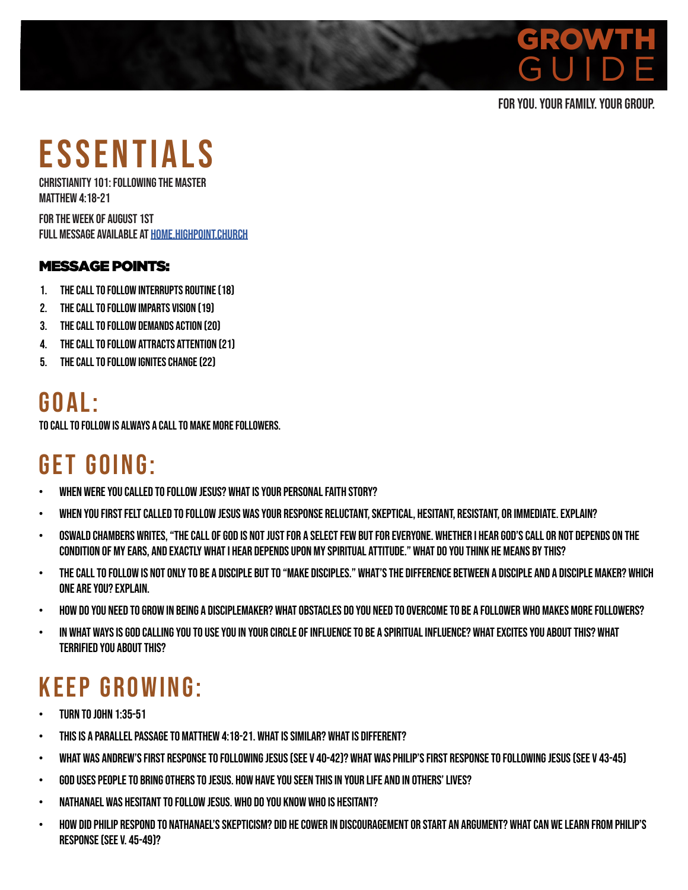## GROWTH GUIDE <sub>CO</sub> GROWTH GUIDE

#### FOR YOU. YOUR FAMILY. YOUR GROUP.

# ESSENTIALS

CHRISTIANITY 101: FOLLOWING THE MASTER MATTHEW 4:18-21

FOR THE WEEK OF AUGUST 1ST FULL MESSAGE AVAILABLE AT HOME.HIGHPOINT.CHURCH

### MESSAGE POINTS:

- 1. The Call to follow interrupts routine (18)
- 2. The Call to follow imparts vision (19)
- 3. The Call to follow demands action (20)
- 4. The Call to follow attracts attention (21)
- 5. The Call to follow ignites change (22)

## **G O A L :**

TO CALL TO FOLLOW IS ALWAYS A CALL TO MAKE MORE FOLLOWERS.

# GET GOING:

- When were you called to follow Jesus? What is your personal faith story?
- When you first felt called to follow Jesus was your response reluctant, skeptical, hesitant, resistant, or immediate. Explain?
- Oswald Chambers writes, "The Call of God is not just for a select few but for everyone. Whether I hear God's call or not depends on the condition of my ears, and exactly what I hear depends upon my spiritual attitude." What do you think he means by this?
- The call to follow is not only to be a disciple but to "make disciples." What's the difference between a disciple and a disciple maker? Which one are you? Explain.
- How do you need to grow in being a disciplemaker? What obstacles do you need to overcome to be a follower who makes more followers?
- In what ways is God calling you to use you in your circle of influence to be a spiritual influence? What excites you about this? What terrified you about this?

## KEEP GROWING:

- Turn to John 1:35-51
- This is a parallel passage to Matthew 4:18-21. What is similar? What is different?
- What was Andrew's first response to following Jesus (see v 40-42)? What was Philip's first response to following Jesus (see v 43-45)
- God uses people to bring others to Jesus. How have you seen this in your life and in others' lives?
- Nathanael was hesitant to follow Jesus. Who do you know who is hesitant?
- How did Philip respond to Nathanael's skepticism? Did he cower in discouragement or start an argument? What can we learn from Philip's response (see v. 45-49)?